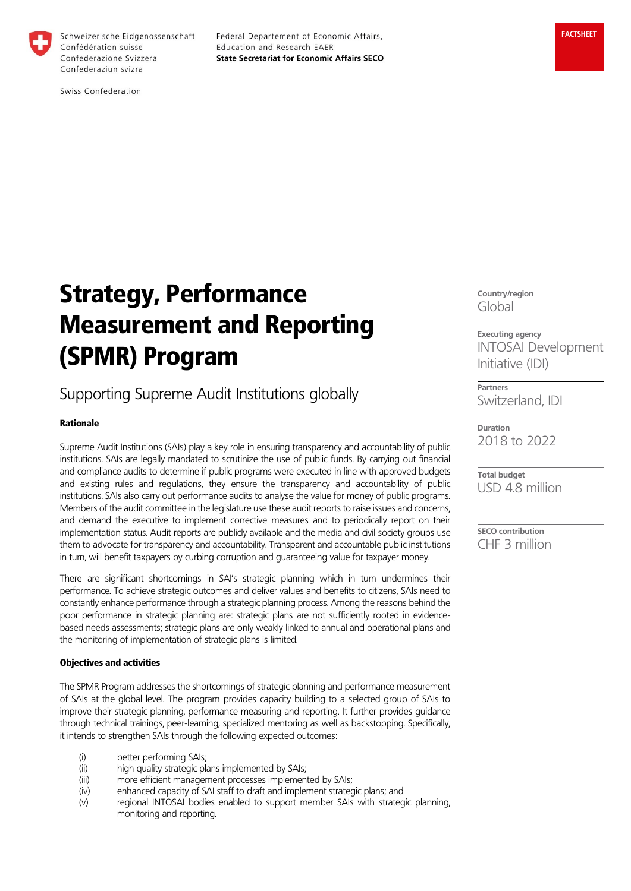

Federal Departement of Economic Affairs, Education and Research EAER **State Secretariat for Economic Affairs SECO** 

Swiss Confederation

# Strategy, Performance Measurement and Reporting (SPMR) Program

# Supporting Supreme Audit Institutions globally

# Rationale

Supreme Audit Institutions (SAIs) play a key role in ensuring transparency and accountability of public institutions. SAIs are legally mandated to scrutinize the use of public funds. By carrying out financial and compliance audits to determine if public programs were executed in line with approved budgets and existing rules and regulations, they ensure the transparency and accountability of public institutions. SAIs also carry out performance audits to analyse the value for money of public programs. Members of the audit committee in the legislature use these audit reports to raise issues and concerns, and demand the executive to implement corrective measures and to periodically report on their implementation status. Audit reports are publicly available and the media and civil society groups use them to advocate for transparency and accountability. Transparent and accountable public institutions in turn, will benefit taxpayers by curbing corruption and guaranteeing value for taxpayer money.

There are significant shortcomings in SAI's strategic planning which in turn undermines their performance. To achieve strategic outcomes and deliver values and benefits to citizens, SAIs need to constantly enhance performance through a strategic planning process. Among the reasons behind the poor performance in strategic planning are: strategic plans are not sufficiently rooted in evidencebased needs assessments; strategic plans are only weakly linked to annual and operational plans and the monitoring of implementation of strategic plans is limited.

## Objectives and activities

The SPMR Program addresses the shortcomings of strategic planning and performance measurement of SAIs at the global level. The program provides capacity building to a selected group of SAIs to improve their strategic planning, performance measuring and reporting. It further provides guidance through technical trainings, peer-learning, specialized mentoring as well as backstopping. Specifically, it intends to strengthen SAIs through the following expected outcomes:

- (i) better performing SAIs;
- (ii) high quality strategic plans implemented by SAIs;
- (iii) more efficient management processes implemented by SAIs;
- (iv) enhanced capacity of SAI staff to draft and implement strategic plans; and
- (v) regional INTOSAI bodies enabled to support member SAIs with strategic planning, monitoring and reporting.

**Country/region** Global

**Executing agency** INTOSAI Development Initiative (IDI)

**Partners** Switzerland, IDI

**Duration** 2018 to 2022

**Total budget** USD 4.8 million

**SECO contribution** CHF 3 million